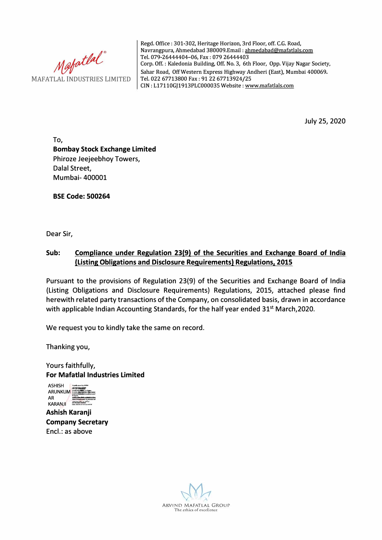Mafatlal<sup>®</sup><br>MAFATLAL INDUSTRIES LIMITED

Regd. Office: 301-302, Heritage Horizon, 3rd Floor, off. C.G. Road, Navrangpura, Ahmedabad 380009.Email : ahmedabad@mafatlals.com Tel. 079-26444404-06, Fax : 079 26444403 Corp. Off. : Kaledonia Building, Off. No. 3, 6th Floor, Opp. Vijay Nagar Society, Sahar Road, Off Western Express Highway Andheri (East), Mumbai 400069. Tel. 022 67713800 Fax: 91 22 67713924/25 CIN: L17110GJ1913PLC000035 Website: www.mafatlals.com

July 25, 2020

**To, Bombay Stock Exchange Limited**  Phiroze Jeejeebhoy Towers, Dalal Street, Mumbai- 400001

**BSE Code: 500264** 

Dear Sir,

## **Sub: Compliance under Regulation 23(9) of the Securities and Exchange Board of India (Listing Obligations and Disclosure Requirements} Regulations, 2015**

Pursuant to the provisions of Regulation 23(9) of the Securities and Exchange Board of India (Listing Obligations and Disclosure Requirements) Regulations, 2015, attached please find herewith related party transactions of the Company, on consolidated basis, drawn in accordance with applicable Indian Accounting Standards, for the half year ended 31<sup>st</sup> March, 2020.

We request you to kindly take the same on record.

Thanking you,

Yours faithfully,



**Ashish Karanji Company Secretary**  Encl.: as above